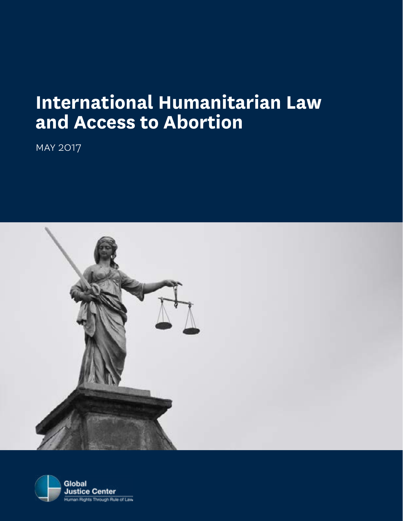# **International Humanitarian Law and Access to Abortion**

may 2017



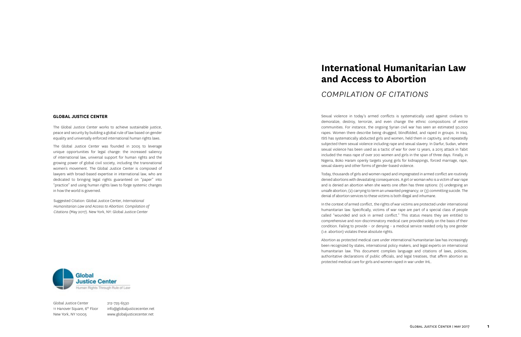# **International Humanitarian Law and Access to Abortion**

*compilation of citations*

The Global Justice Center works to achieve sustainable justice, peace and security by building a global rule of law based on gender equality and universally enforced international human rights laws.

The Global Justice Center was founded in 2005 to leverage unique opportunities for legal change: the increased saliency of international law, universal support for human rights and the growing power of global civil society, including the transnational women's movement. The Global Justice Center is composed of lawyers with broad-based expertise in international law, who are dedicated to bringing legal rights guaranteed on "paper" into "practice" and using human rights laws to forge systemic changes in how the world is governed.

Suggested Citation: Global Justice Center, *International Humanitarian Law and Access to Abortion: Compilation of Citations* (May 2017). New York, NY: Global Justice Center



**GLOBAL JUSTICE CENTER** Sexual violence in today's armed conflicts is systematically used against civilians to demoralize, destroy, terrorize, and even change the ethnic compositions of entire communities. For instance, the ongoing Syrian civil war has seen an estimated 50,000 rapes. Women there describe being drugged, blindfolded, and raped in groups. In Iraq, ISIS has systematically abducted girls and women, held them in captivity, and repeatedly subjected them sexual violence including rape and sexual slavery. In Darfur, Sudan, where sexual violence has been used as a tactic of war for over 12 years, a 2015 attack in Tabit included the mass rape of over 200 women and girls in the span of three days. Finally, in Nigeria, Boko Haram openly targets young girls for kidnappings, forced marriage, rape, sexual slavery and other forms of gender-based violence.

Global Justice Center 11 Hanover Square, 6<sup>th</sup> Floor New York, NY 10005

Today, thousands of girls and women raped and impregnated in armed conflict are routinely denied abortions with devastating consequences. A girl or woman who is a victim of war rape and is denied an abortion when she wants one often has three options: (1) undergoing an unsafe abortion; (2) carrying to term an unwanted pregnancy; or (3) committing suicide. The denial of abortion services to these victims is both illegal and inhumane.

In the context of armed conflict, the rights of war victims are protected under international humanitarian law. Specifically, victims of war rape are part of a special class of people called "wounded and sick in armed conflict." This status means they are entitled to comprehensive and non-discriminatory medical care provided solely on the basis of their condition. Failing to provide – or denying – a medical service needed only by one gender (i.e. abortion) violates these absolute rights.

Abortion as protected medical care under international humanitarian law has increasingly been recognized by states, international policy makers, and legal experts on international humanitarian law. This document complies language and citations of laws, policies, authoritative declarations of public officials, and legal treatises, that affirm abortion as protected medical care for girls and women raped in war under IHL.



212-725-6530 info@globaljusticecenter.net www.globaljusticecenter.net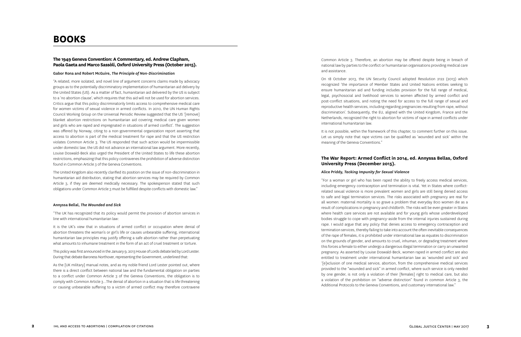### **The 1949 Geneva Convention: A Commentary, ed. Andrew Clapham, Paola Gaeta and Marco Sassòli, Oxford University Press (October 2015).**

#### Gabor Rona and Robert McGuire, *The Principle of Non-Discrimination*

"A related, more isolated, and novel line of argument concerns claims made by advocacy groups as to the potentially discriminatory implementation of humanitarian aid delivery by the United States (US). As a matter of fact, humanitarian aid delivered by the US is subject to a 'no abortion clause', which requires that this aid will not be used for abortion services. Critics argue that this policy discriminatorily limits access to comprehensive medical care for women victims of sexual violence in armed conflicts. In 2010, the UN Human Rights Council Working Group on the Universal Periodic Review suggested that the US '[remove] blanket abortion restrictions on humanitarian aid covering medical care given women and girls who are raped and impregnated in situations of armed conflict'. The suggestion was offered by Norway, citing to a non-governmental organization report asserting that access to abortion is part of the medical treatment for rape and that the US restriction violates Common Article 3. The US responded that such action would be impermissible under domestic law; the US did not advance an international law argument. More recently, Louise Doswald-Beck also urged the President of the United States to life these abortion restrictions, emphasizing that this policy contravenes the prohibition of adverse distinction found in Common Article 3 of the Geneva Conventions.

The United Kingdom also recently clarified its position on the issue of non-discrimination in humanitarian aid distribution, stating that abortion services may be required by Common Article 3, if they are deemed medically necessary. The spokesperson stated that such obligations under Common Article 3 must be fulfilled despite conflicts with domestic law."

#### Annyssa Bellal, *The Wounded and Sick*

"The UK has recognized that its policy would permit the provision of abortion services in line with international humanitarian law:

It is the UK's view that in situations of armed conflict or occupation where denial of abortion threatens the woman's or girl's life or causes unbearable suffering, international humanitarian law principles may justify offering a safe abortion rather than perpetuating what amounts to inhumane treatment in the form of an act of cruel treatment or torture.

This policy was first announced in the January 9, 2013 House of Lords debate led by Lord Lester. During that debate Baroness Northover, representing the Government, underlined that:

As the [UK military] manual notes, and as my noble friend Lord Lester pointed out, where there is a direct conflict between national law and the fundamental obligation on parties to a conflict under Common Article 3 of the Geneva Conventions, the obligation is to comply with Common Article 3…The denial of abortion in a situation that is life threatening or causing unbearable suffering to a victim of armed conflict may therefore contravene

Common Article 3. Therefore, an abortion may be offered despite being in breach of national law by parties to the conflict or humanitarian organisations providing medical care and assistance.

On 18 October 2013, the UN Security Council adopted Resolution 2122 (2013) which recognized 'the importance of Member States and United Nations entities seeking to ensure humanitarian aid and funding includes provision for the full range of medical, legal, psychosocial and livelihood services to women affected by armed conflict and post-conflict situations, and noting the need for access to the full range of sexual and reproductive health services, including regarding pregnancies resulting from rape, without discrimination'. Subsequently, the EU, aligned with the United Kingdom, France and the Netherlands, recognized the right to abortion for victims of rape in armed conflicts under international humanitarian law.

It is not possible, within the framework of this chapter, to comment further on this issue. Let us simply note that rape victims can be qualified as 'wounded and sick' within the meaning of the Geneva Conventions."

## **The War Report: Armed Conflict in 2014, ed. Annyssa Bellas, Oxford University Press (December 2015).**

#### Alice Priddy, *Tacking Impunity for Sexual Violence*

"For a woman or girl who has been raped the ability to freely access medical services, including emergency contraception and termination is vital. Yet in States where conflictrelated sexual violence is more prevalent women and girls are still being denied access to safe and legal termination services. The risks associated with pregnancy are real for all women: maternal mortality is so grave a problem that everyday 800 women die as a result of complications in pregnancy and childbirth. The risks will be even greater in States where health care services are not available and for young girls whose underdeveloped bodies struggle to cope with pregnancy-aside from the internal injuries sustained during rape. I would argue that any policy that denies access to emergency contraception and termination services, thereby failing to take into account the often inevitable consequences of the rape of females, it is prohibited under international law as equates to discrimination on the grounds of gender, and amounts to cruel, inhuman, or degrading treatment where this forces a female to either undergo a dangerous illegal termination or carry an unwanted pregnancy. As asserted by Louise Doswald-Beck, women raped in armed conflict are also entitled to treatment under international humanitarian law as 'wounded and sick' and '[e]xclusion of one medical service, abortion, from the comprehensive medical services provided to the "wounded and sick" in armed conflict, where such service is only needed by one gender, is not only a violation of their [females] right to medical care, but also a violation of the prohibition on "adverse distinction" found in common Article 3, the Additional Protocols to the Geneva Conventions, and customary international law."

## **BOOKS**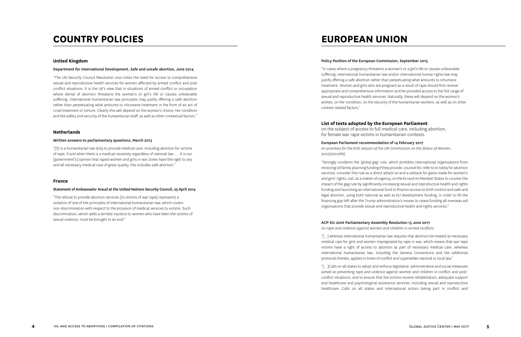#### **United Kingdom**

#### Department for International Development, Safe and unsafe abortion, June 2014

"The UN Security Council Resolution 2122 notes the need for access to comprehensive sexual and reproductive health services for women affected by armed conflict and post conflict situations. It is the UK's view that in situations of armed conflict or occupation where denial of abortion threatens the woman's or girl's life or causes unbearable suffering, international humanitarian law principles may justify offering a safe abortion rather than perpetuating what amounts to inhumane treatment in the form of an act of cruel treatment or torture. Clearly this will depend on the woman's choice, her condition and the safety and security of the humanitarian staff, as well as other contextual factors."

#### **Netherlands**

#### Written answers to parliamentary questions, March 2013

"[I]t is a humanitarian law duty to provide medical care, including abortion for victims of rape, if and when there is a medical necessity regardless of national law . . . It is our [government's] opinion that raped women and girls in war zones have the right to any and all necessary medical care of great quality, this includes safe abortion."

#### **France**

#### Statement of Ambassador Araud at the United Nations Security Council, 25 April 2014

"The refusal to provide abortion services [to victims of war rape] represents a violation of one of the principles of international humanitarian law, which covers non-discrimination with respect to the provision of medical services to victims. Such discrimination, which adds a terrible injustice to women who have been the victims of sexual violence, must be brought to an end."

### Policy Position of the European Commission, September 2015

"In cases where a pregnancy threatens a woman's or a girl's life or causes unbearable suffering, international humanitarian law and/or international human rights law may justify offering a safe abortion rather than perpetuating what amounts to inhumane treatment. Women and girls who are pregnant as a result of rape should first receive appropriate and comprehensive information and be provided access to the full range of sexual and reproductive health services. Naturally, these will depend on the woman's wishes, on her condition, on the security of the humanitarian workers, as well as on other context related factors."

## **List of texts adopted by the European Parliament**

on the subject of access to full medical care, including abortion, for female war rape victims in humanitarian contexts.

#### European Parliament recommendation of 14 February 2017

*on priorities for the 61th session of the UN Commission on the Status of Women, 2017/2001(INI)*

"Strongly condemn the 'global gag' rule, which prohibits international organisations from receiving US family planning funding if they provide, counsel for, refer to or lobby for abortion services; consider this rule as a direct attack on and a setback for gains made for women's and girls' rights; call, as a matter of urgency, on the EU and its Member States to counter the impact of the gag rule by significantly increasing sexual and reproductive health and rights funding and launching an international fund to finance access to birth control and safe and legal abortion, using both national as well as EU development funding, in order to fill the financing gap left after the Trump administration's moves to cease funding all overseas aid organisations that provide sexual and reproductive health and rights services;"

#### ACP-EU Joint Parliamentary Assembly Resolution 15 June 2017

*on rape and violence against women and children in armed conflicts* 

"[…] whereas international humanitarian law requires that abortion be treated as necessary medical care for girls and women impregnated by rape in war, which means that war rape victims have a right of access to abortion as part of necessary medical care…whereas international humanitarian law, including the Geneva Conventions and the additional protocols thereto, applies in times of conflict and supersedes national or local law."

"[…]Calls on all states to adopt and enforce legislative, administrative and social measures aimed at preventing rape and violence against women and children in conflict and postconflict situations, and to ensure that the victims receive rehabilitation, adequate support and healthcare and psychological assistance services, including sexual and reproductive healthcare…Calls on all states and international actors taking part in conflict and

## **COUNTRY POLICIES EUROPEAN UNION**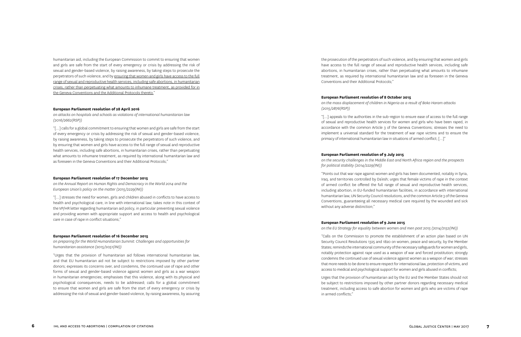humanitarian aid, including the European Commission to commit to ensuring that women and girls are safe from the start of every emergency or crisis by addressing the risk of sexual and gender-based violence, by raising awareness, by taking steps to prosecute the perpetrators of such violence, and by ensuring that women and girls have access to the full range of sexual and reproductive health services, including safe abortions, in humanitarian crises, rather than perpetuating what amounts to inhumane treatment, as provided for in the Geneva Conventions and the Additional Protocols thereto. "

#### **European Parliament resolution of 28 April 2016**

*on attacks on hospitals and schools as violations of international humanitarian law (2016/2662(RSP))*

"[…] calls for a global commitment to ensuring that women and girls are safe from the start of every emergency or crisis by addressing the risk of sexual and gender-based violence, by raising awareness, by taking steps to prosecute the perpetrators of such violence, and by ensuring that women and girls have access to the full range of sexual and reproductive health services, including safe abortions, in humanitarian crises, rather than perpetuating what amounts to inhumane treatment, as required by international humanitarian law and as foreseen in the Geneva Conventions and their Additional Protocols;"

#### **European Parliament resolution of 17 December 2015**

*on the Annual Report on Human Rights and Democracy in the World 2014 and the European Union's policy on the matter (2015/2229(INI))*

"[…] stresses the need for women, girls and children abused in conflicts to have access to health and psychological care, in line with international law; takes note in this context of the VP/HR letter regarding humanitarian aid policy, in particular preventing sexual violence and providing women with appropriate support and access to health and psychological care in case of rape in conflict situations;"

#### **European Parliament resolution of 16 December 2015**

*on preparing for the World Humanitarian Summit: Challenges and opportunities for humanitarian assistance (2015/2051(INI))*

"Urges that the provision of humanitarian aid follows international humanitarian law, and that EU humanitarian aid not be subject to restrictions imposed by other partner donors; expresses its concerns over, and condemns, the continued use of rape and other forms of sexual and gender-based violence against women and girls as a war weapon in humanitarian emergencies; emphasises that this violence, along with its physical and psychological consequences, needs to be addressed; calls for a global commitment to ensure that women and girls are safe from the start of every emergency or crisis by addressing the risk of sexual and gender-based violence, by raising awareness, by assuring the prosecution of the perpetrators of such violence, and by ensuring that women and girls have access to the full range of sexual and reproductive health services, including safe abortions, in humanitarian crises, rather than perpetuating what amounts to inhumane treatment, as required by international humanitarian law and as foreseen in the Geneva Conventions and their Additional Protocols;"

#### **European Parliament resolution of 8 October 2015**

*on the mass displacement of children in Nigeria as a result of Boko Haram attacks (2015/2876(RSP))*

"[…] appeals to the authorities in the sub-region to ensure ease of access to the full range of sexual and reproductive health services for women and girls who have been raped, in accordance with the common Article 3 of the Geneva Conventions; stresses the need to implement a universal standard for the treatment of war rape victims and to ensure the primacy of international humanitarian law in situations of armed conflict; […]"

#### **European Parliament resolution of 9 July 2015**

*on the security challenges in the Middle East and North Africa region and the prospects for political stability (2014/2229(INI))*

"Points out that war rape against women and girls has been documented, notably in Syria, Iraq, and territories controlled by Da'esh; urges that female victims of rape in the context of armed conflict be offered the full range of sexual and reproductive health services, including abortion, in EU-funded humanitarian facilities, in accordance with international humanitarian law, UN Security Council resolutions, and the common Article 3 of the Geneva Conventions, guaranteeing all necessary medical care required by the wounded and sick without any adverse distinction;"

#### **European Parliament resolution of 9 June 2015**

*on the EU Strategy for equality between women and men post 2015 (2014/2152(INI))*

"Calls on the Commission to promote the establishment of an action plan based on UN Security Council Resolutions 1325 and 1820 on women, peace and security, by the Member States; reminds the international community of the necessary safeguards for women and girls, notably protection against rape used as a weapon of war and forced prostitution; strongly condemns the continued use of sexual violence against women as a weapon of war; stresses that more needs to be done to ensure respect for international law, protection of victims, and access to medical and psychological support for women and girls abused in conflicts;

Urges that the provision of humanitarian aid by the EU and the Member States should not be subject to restrictions imposed by other partner donors regarding necessary medical treatment, including access to safe abortion for women and girls who are victims of rape in armed conflicts;"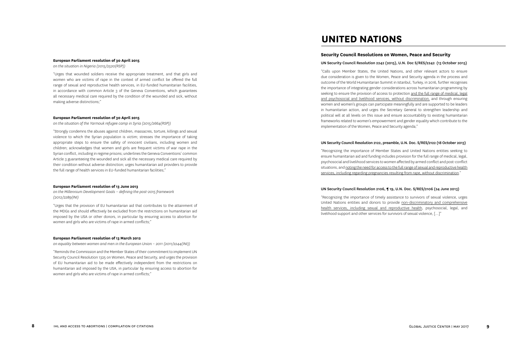#### **European Parliament resolution of 30 April 2015**

*on the situation in Nigeria (2015/2520(RSP))*

"Urges that wounded soldiers receive the appropriate treatment, and that girls and women who are victims of rape in the context of armed conflict be offered the full range of sexual and reproductive health services, in EU-funded humanitarian facilities, in accordance with common Article 3 of the Geneva Conventions, which guarantees all necessary medical care required by the condition of the wounded and sick, without making adverse distinctions;"

#### **European Parliament resolution of 30 April 2015**

*on the situation of the Yarmouk refugee camp in Syria (2015/2664(RSP))*

"Strongly condemns the abuses against children, massacres, torture, killings and sexual violence to which the Syrian population is victim; stresses the importance of taking appropriate steps to ensure the safety of innocent civilians, including women and children; acknowledges that women and girls are frequent victims of war rape in the Syrian conflict, including in regime prisons; underlines the Geneva Conventions' common Article 3 guaranteeing the wounded and sick all the necessary medical care required by their condition without adverse distinction; urges humanitarian aid providers to provide the full range of health services in EU-funded humanitarian facilities;"

#### **European Parliament resolution of 13 June 2013**

*on the Millennium Development Goals – defining the post-2015 framework (2012/2289(INI)*

"Urges that the provision of EU humanitarian aid that contributes to the attainment of the MDGs and should effectively be excluded from the restrictions on humanitarian aid imposed by the USA or other donors, in particular by ensuring access to abortion for women and girls who are victims of rape in armed conflicts;"

#### **European Parliament resolution of 13 March 2012**

*on equality between women and men in the European Union – 2011 (2011/2244(INI))*

"Reminds the Commission and the Member States of their commitment to implement UN Security Council Resolution 1325 on Women, Peace and Security, and urges the provision of EU humanitarian aid to be made effectively independent from the restrictions on humanitarian aid imposed by the USA, in particular by ensuring access to abortion for women and girls who are victims of rape in armed conflicts;"

### **Security Council Resolutions on Women, Peace and Security**

### UN Security Council Resolution 2242 (2015), U.N. Doc S/RES/2242 (13 October 2015)

"Calls upon Member States, the United Nations, and other relevant actors to ensure due consideration is given to the Women, Peace and Security agenda in the process and outcome of the World Humanitarian Summit in Istanbul, Turkey, in 2016, further recognises the importance of integrating gender considerations across humanitarian programming by seeking to ensure the provision of access to protection and the full range of medical, legal and psychosocial and livelihood services, without discrimination, and through ensuring women and women's groups can participate meaningfully and are supported to be leaders in humanitarian action, and urges the Secretary General to strengthen leadership and political will at all levels on this issue and ensure accountability to existing humanitarian frameworks related to women's empowerment and gender equality which contribute to the implementation of the Women, Peace and Security agenda;"

#### UN Security Council Resolution 2122, preamble, U.N. Doc. S/RES/2122 (18 October 2013)

"Recognizing the importance of Member States and United Nations entities seeking to ensure humanitarian aid and funding includes provision for the full range of medical, legal, psychosocial and livelihood services to women affected by armed conflict and post-conflict situations, and noting the need for access to the full range of sexual and reproductive health services, including regarding pregnancies resulting from rape, without discrimination."

#### UN Security Council Resolution 2106, ¶ 19, U.N. Doc. S/RES/2106 (24 June 2013)

"Recognizing the importance of timely assistance to survivors of sexual violence, urges United Nations entities and donors to provide non-discriminatory and comprehensive health services, including sexual and reproductive health, psychosocial, legal, and livelihood support and other services for survivors of sexual violence, […]"

## **UNITED NATIONS**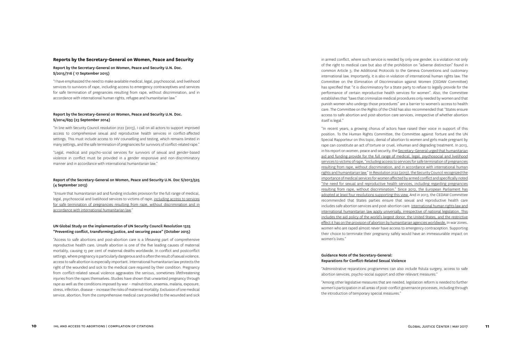#### **Reports by the Secretary-General on Women, Peace and Security**

### Report by the Secretary-General on Women, Peace and Security U.N. Doc. S/2015/716 ( 17 September 2015)

"I have emphasized the need to make available medical, legal, psychosocial, and livelihood services to survivors of rape, including access to emergency contraceptives and services for safe termination of pregnancies resulting from rape, without discrimination, and in accordance with international human rights, refugee and humanitarian law."

#### Report by the Secretary-General on Women, Peace and Security U.N. Doc. S/2014/693 (23 September 2014)

"In line with Security Council resolution 2122 (2013), I call on all actors to support improved access to comprehensive sexual and reproductive health services in conflict-affected settings. This must include access to HIV counselling and testing, which remains limited in many settings, and the safe termination of pregnancies for survivors of conflict-related rape."

"Legal, medical and psycho-social services for survivors of sexual and gender-based violence in conflict must be provided in a gender responsive and non-discriminatory manner and in accordance with international humanitarian law."

#### Report of the Secretary-General on Women, Peace and Security U.N. Doc S/2013/525 (4 September 2013)

"Ensure that humanitarian aid and funding includes provision for the full range of medical, legal, psychosocial and livelihood services to victims of rape, including access to services for safe termination of pregnancies resulting from rape, without discrimination and in accordance with international humanitarian law."

#### UN Global Study on the implementation of UN Security Council Resolution 1325 "Preventing conflict, transforming justice, and securing peace" (October 2015)

"Access to safe abortions and post-abortion care is a lifesaving part of comprehensive reproductive health care. Unsafe abortion is one of the five leading causes of maternal mortality, causing 13 per cent of maternal deaths worldwide. In conflict and postconflict settings, where pregnancy is particularly dangerous and is often the result of sexual violence, access to safe abortion is especially important. International humanitarian law protects the right of the wounded and sick to the medical care required by their condition. Pregnancy from conflict-related sexual violence aggravates the serious, sometimes lifethreatening injuries from the rapes themselves. Studies have shown that unwanted pregnancy through rape as well as the conditions imposed by war – malnutrition, anaemia, malaria, exposure, stress, infection, disease – increase the risks of maternal mortality. Exclusion of one medical service, abortion, from the comprehensive medical care provided to the wounded and sick

in armed conflict, where such service is needed by only one gender, is a violation not only of the right to medical care but also of the prohibition on "adverse distinction" found in common Article 3, the Additional Protocols to the Geneva Conventions and customary international law. Importantly, it is also in violation of international human rights law. The Committee on the Elimination of Discrimination against Women (CEDAW Committee) has specified that "it is discriminatory for a State party to refuse to legally provide for the performance of certain reproductive health services for women". Also, the Committee establishes that "laws that criminalize medical procedures only needed by women and that punish women who undergo those procedures" are a barrier to women's access to health care. The Committee on the Rights of the Child has also recommended that "States ensure access to safe abortion and post-abortion care services, irrespective of whether abortion itself is legal."

"In recent years, a growing chorus of actors have raised their voice in support of this position. To the Human Rights Committee, the Committee against Torture and the UN Special Rapporteur on this topic, denial of abortion to women and girls made pregnant by rape can constitute an act of torture or cruel, inhuman and degrading treatment. In 2013, in his report on women, peace and security, the Secretary-General urged that humanitarian aid and funding provide for the full range of medical, legal, psychosocial and livelihood services to victims of rape, "including access to services for safe termination of pregnancies resulting from rape, without discrimination, and in accordance with international human rights and humanitarian law." In Resolution 2122 (2013), the Security Council recognized the importance of medical services for women affected by armed conflict and specifically noted "the need for sexual and reproductive health services, including regarding pregnancies resulting from rape, without discrimination." Since 2012, the European Parliament has adopted at least four resolutions supporting this view. And in 2013, the CEDAW Committee recommended that States parties ensure that sexual and reproductive health care includes safe abortion services and post-abortion care. International human rights law and international humanitarian law apply universally, irrespective of national legislation. This includes the aid policy of the world's largest donor, the United States, and the restrictive effect it has on the provision of abortion by humanitarian agencies worldwide. In war zones, women who are raped almost never have access to emergency contraception. Supporting their choice to terminate their pregnancy safely would have an immeasurable impact on women's lives."

#### Guidance Note of the Secretary-General: Reparations for Conflict-Related Sexual Violence

"Administrative reparations programmes can also include fistula surgery, access to safe abortion services, psycho-social support and other relevant measures."

"Among other legislative measures that are needed, legislation reform is needed to further women's participation in all areas of post-conflict governance processes, including through the introduction of temporary special measures."